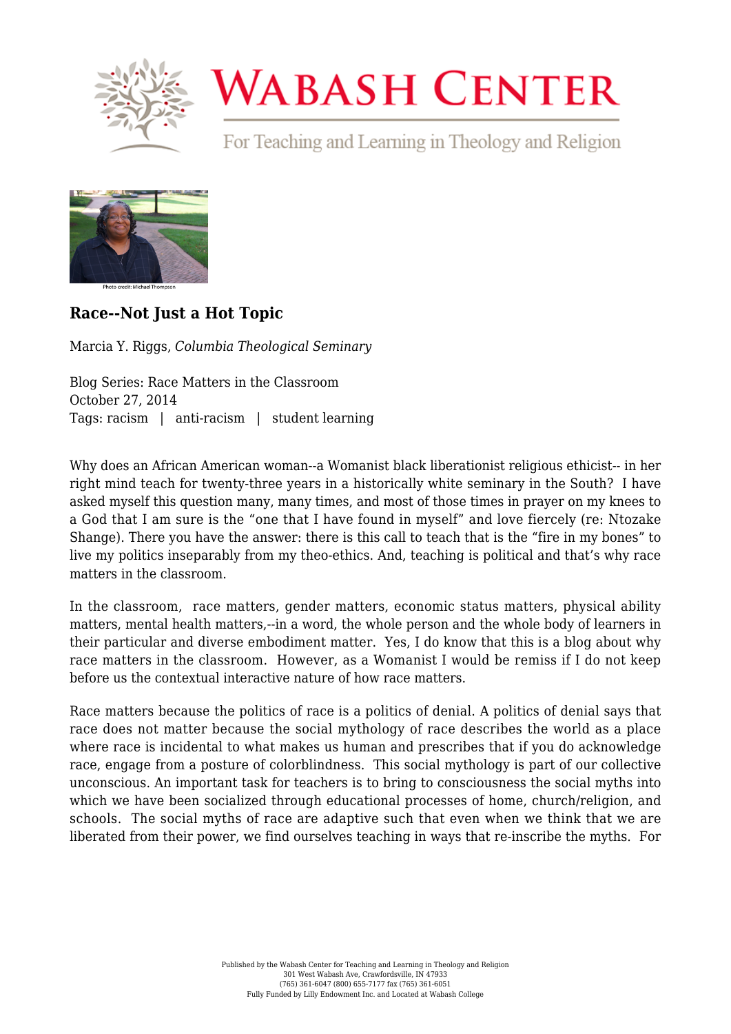

## **WABASH CENTER**

For Teaching and Learning in Theology and Religion



## **[Race--Not Just a Hot Topic](https://www.wabashcenter.wabash.edu/2014/10/race-not-just-a-hot-topic/)**

Marcia Y. Riggs, *Columbia Theological Seminary*

Blog Series: Race Matters in the Classroom October 27, 2014 Tags: racism | anti-racism | student learning

Why does an African American woman--a Womanist black liberationist religious ethicist-- in her right mind teach for twenty-three years in a historically white seminary in the South? I have asked myself this question many, many times, and most of those times in prayer on my knees to a God that I am sure is the "one that I have found in myself" and love fiercely (re: Ntozake Shange). There you have the answer: there is this call to teach that is the "fire in my bones" to live my politics inseparably from my theo-ethics. And, teaching is political and that's why race matters in the classroom.

In the classroom, race matters, gender matters, economic status matters, physical ability matters, mental health matters,--in a word, the whole person and the whole body of learners in their particular and diverse embodiment matter. Yes, I do know that this is a blog about why race matters in the classroom. However, as a Womanist I would be remiss if I do not keep before us the contextual interactive nature of how race matters.

Race matters because the politics of race is a politics of denial. A politics of denial says that race does not matter because the social mythology of race describes the world as a place where race is incidental to what makes us human and prescribes that if you do acknowledge race, engage from a posture of colorblindness. This social mythology is part of our collective unconscious. An important task for teachers is to bring to consciousness the social myths into which we have been socialized through educational processes of home, church/religion, and schools. The social myths of race are adaptive such that even when we think that we are liberated from their power, we find ourselves teaching in ways that re-inscribe the myths. For